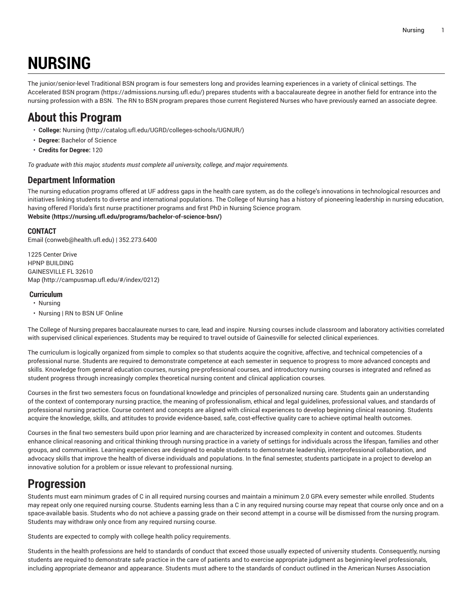# **NURSING**

The junior/senior-level Traditional BSN program is four semesters long and provides learning experiences in a variety of clinical settings. [The](https://admissions.nursing.ufl.edu/) [Accelerated](https://admissions.nursing.ufl.edu/) BSN program (<https://admissions.nursing.ufl.edu/>) prepares students with a baccalaureate degree in another field for entrance into the nursing profession with a BSN. The RN to BSN program prepares those current Registered Nurses who have previously earned an associate degree.

# **About this Program**

- **College:** [Nursing](http://catalog.ufl.edu/UGRD/colleges-schools/UGNUR/) [\(http://catalog.ufl.edu/UGRD/colleges-schools/UGNUR/](http://catalog.ufl.edu/UGRD/colleges-schools/UGNUR/))
- **Degree:** Bachelor of Science
- **Credits for Degree:** 120

*To graduate with this major, students must complete all university, college, and major requirements.*

### **Department Information**

The nursing education programs offered at UF address gaps in the health care system, as do the college's innovations in technological resources and initiatives linking students to diverse and international populations. The College of Nursing has a history of pioneering leadership in nursing education, having offered Florida's first nurse practitioner programs and first PhD in Nursing Science program. **[Website](https://nursing.ufl.edu/programs/bachelor-of-science-bsn/) (<https://nursing.ufl.edu/programs/bachelor-of-science-bsn/>)**

#### **CONTACT**

[Email](mailto:conweb@health.ufl.edu) (<conweb@health.ufl.edu>) | 352.273.6400

1225 Center Drive HPNP BUILDING GAINESVILLE FL 32610 [Map](http://campusmap.ufl.edu/#/index/0212) ([http://campusmap.ufl.edu/#/index/0212\)](http://campusmap.ufl.edu/#/index/0212)

#### **Curriculum**

- Nursing
- Nursing | RN to BSN UF Online

The College of Nursing prepares baccalaureate nurses to care, lead and inspire. Nursing courses include classroom and laboratory activities correlated with supervised clinical experiences. Students may be required to travel outside of Gainesville for selected clinical experiences.

The curriculum is logically organized from simple to complex so that students acquire the cognitive, affective, and technical competencies of a professional nurse. Students are required to demonstrate competence at each semester in sequence to progress to more advanced concepts and skills. Knowledge from general education courses, nursing pre-professional courses, and introductory nursing courses is integrated and refined as student progress through increasingly complex theoretical nursing content and clinical application courses.

Courses in the first two semesters focus on foundational knowledge and principles of personalized nursing care. Students gain an understanding of the context of contemporary nursing practice, the meaning of professionalism, ethical and legal guidelines, professional values, and standards of professional nursing practice. Course content and concepts are aligned with clinical experiences to develop beginning clinical reasoning. Students acquire the knowledge, skills, and attitudes to provide evidence-based, safe, cost-effective quality care to achieve optimal health outcomes.

Courses in the final two semesters build upon prior learning and are characterized by increased complexity in content and outcomes. Students enhance clinical reasoning and critical thinking through nursing practice in a variety of settings for individuals across the lifespan, families and other groups, and communities. Learning experiences are designed to enable students to demonstrate leadership, interprofessional collaboration, and advocacy skills that improve the health of diverse individuals and populations. In the final semester, students participate in a project to develop an innovative solution for a problem or issue relevant to professional nursing.

# **Progression**

Students must earn minimum grades of C in all required nursing courses and maintain a minimum 2.0 GPA every semester while enrolled. Students may repeat only one required nursing course. Students earning less than a C in any required nursing course may repeat that course only once and on a space-available basis. Students who do not achieve a passing grade on their second attempt in a course will be dismissed from the nursing program. Students may withdraw only once from any required nursing course.

Students are expected to comply with college health policy requirements.

Students in the health professions are held to standards of conduct that exceed those usually expected of university students. Consequently, nursing students are required to demonstrate safe practice in the care of patients and to exercise appropriate judgment as beginning-level professionals, including appropriate demeanor and appearance. Students must adhere to the standards of conduct outlined in the American Nurses Association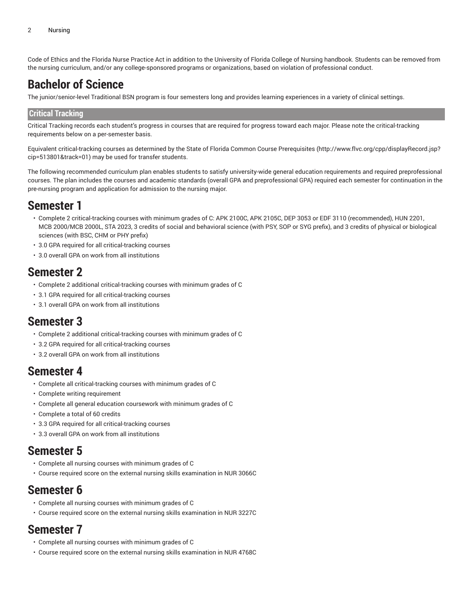Code of Ethics and the Florida Nurse Practice Act in addition to the University of Florida College of Nursing handbook. Students can be removed from the nursing curriculum, and/or any college-sponsored programs or organizations, based on violation of professional conduct.

## **Bachelor of Science**

The junior/senior-level Traditional BSN program is four semesters long and provides learning experiences in a variety of clinical settings.

#### **Critical Tracking**

Critical Tracking records each student's progress in courses that are required for progress toward each major. Please note the critical-tracking requirements below on a per-semester basis.

Equivalent critical-tracking courses as determined by the State of Florida Common Course [Prerequisites](http://www.flvc.org/cpp/displayRecord.jsp?cip=513801&track=01) ([http://www.flvc.org/cpp/displayRecord.jsp?](http://www.flvc.org/cpp/displayRecord.jsp?cip=513801&track=01) [cip=513801&track=01\)](http://www.flvc.org/cpp/displayRecord.jsp?cip=513801&track=01) may be used for transfer students.

The following recommended curriculum plan enables students to satisfy university-wide general education requirements and required preprofessional courses. The plan includes the courses and academic standards (overall GPA and preprofessional GPA) required each semester for continuation in the pre-nursing program and application for admission to the nursing major.

### **Semester 1**

- Complete 2 critical-tracking courses with minimum grades of C: APK 2100C, APK 2105C, DEP 3053 or EDF 3110 (recommended), HUN 2201, MCB 2000/MCB 2000L, STA 2023, 3 credits of social and behavioral science (with PSY, SOP or SYG prefix), and 3 credits of physical or biological sciences (with BSC, CHM or PHY prefix)
- 3.0 GPA required for all critical-tracking courses
- 3.0 overall GPA on work from all institutions

### **Semester 2**

- Complete 2 additional critical-tracking courses with minimum grades of C
- 3.1 GPA required for all critical-tracking courses
- 3.1 overall GPA on work from all institutions

### **Semester 3**

- Complete 2 additional critical-tracking courses with minimum grades of C
- 3.2 GPA required for all critical-tracking courses
- 3.2 overall GPA on work from all institutions

### **Semester 4**

- Complete all critical-tracking courses with minimum grades of C
- Complete writing requirement
- Complete all general education coursework with minimum grades of C
- Complete a total of 60 credits
- 3.3 GPA required for all critical-tracking courses
- 3.3 overall GPA on work from all institutions

### **Semester 5**

- Complete all nursing courses with minimum grades of C
- Course required score on the external nursing skills examination in NUR 3066C

### **Semester 6**

- Complete all nursing courses with minimum grades of C
- Course required score on the external nursing skills examination in NUR 3227C

### **Semester 7**

- Complete all nursing courses with minimum grades of C
- Course required score on the external nursing skills examination in NUR 4768C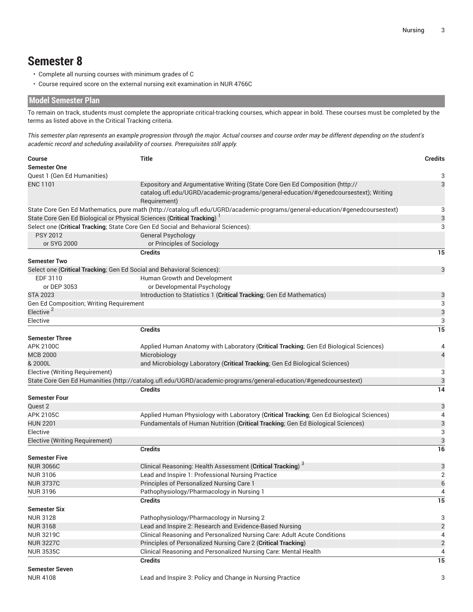# **Semester 8**

- Complete all nursing courses with minimum grades of C
- Course required score on the external nursing exit examination in NUR 4766C

### **Model Semester Plan**

To remain on track, students must complete the appropriate critical-tracking courses, which appear in bold. These courses must be completed by the terms as listed above in the Critical Tracking criteria.

This semester plan represents an example progression through the major. Actual courses and course order may be different depending on the student's *academic record and scheduling availability of courses. Prerequisites still apply.*

| <b>Semester One</b><br>Quest 1 (Gen Ed Humanities)<br>3<br><b>ENC 1101</b><br>3<br>Expository and Argumentative Writing (State Core Gen Ed Composition (http://<br>catalog.ufl.edu/UGRD/academic-programs/general-education/#genedcoursestext); Writing<br>Requirement)<br>State Core Gen Ed Mathematics, pure math (http://catalog.ufl.edu/UGRD/academic-programs/general-education/#genedcoursestext)<br>3<br>State Core Gen Ed Biological or Physical Sciences (Critical Tracking) <sup>1</sup><br>3<br>Select one (Critical Tracking; State Core Gen Ed Social and Behavioral Sciences):<br>3<br><b>PSY 2012</b><br>General Psychology<br>or SYG 2000<br>or Principles of Sociology<br><b>Credits</b><br>15<br><b>Semester Two</b><br>3<br>Select one (Critical Tracking; Gen Ed Social and Behavioral Sciences):<br>EDF 3110<br>Human Growth and Development<br>or Developmental Psychology<br>or DEP 3053<br>Introduction to Statistics 1 (Critical Tracking; Gen Ed Mathematics)<br><b>STA 2023</b><br>3<br>Gen Ed Composition; Writing Requirement<br>3<br>Elective <sup>2</sup><br>3<br>Elective<br>3<br><b>Credits</b><br>15<br><b>Semester Three</b><br><b>APK 2100C</b><br>Applied Human Anatomy with Laboratory (Critical Tracking; Gen Ed Biological Sciences)<br>4<br><b>MCB 2000</b><br>Microbiology<br>& 2000L<br>and Microbiology Laboratory (Critical Tracking; Gen Ed Biological Sciences)<br>Elective (Writing Requirement)<br>3<br>State Core Gen Ed Humanities (http://catalog.ufl.edu/UGRD/academic-programs/general-education/#genedcoursestext)<br>3<br><b>Credits</b><br>14<br><b>Semester Four</b><br>Quest 2<br>3<br>APK 2105C<br>Applied Human Physiology with Laboratory (Critical Tracking; Gen Ed Biological Sciences)<br>3<br><b>HUN 2201</b><br>Fundamentals of Human Nutrition (Critical Tracking; Gen Ed Biological Sciences)<br>3<br>Elective<br>3<br>Elective (Writing Requirement)<br><b>Credits</b><br>16<br><b>Semester Five</b><br>Clinical Reasoning: Health Assessment (Critical Tracking) <sup>3</sup><br><b>NUR 3066C</b><br>3<br>Lead and Inspire 1: Professional Nursing Practice<br>$\overline{2}$<br><b>NUR 3106</b><br>$\boldsymbol{6}$<br>Principles of Personalized Nursing Care 1<br><b>NUR 3737C</b><br><b>NUR 3196</b><br>Pathophysiology/Pharmacology in Nursing 1<br>4<br>15<br>Credits<br><b>Semester Six</b><br><b>NUR 3128</b><br>Pathophysiology/Pharmacology in Nursing 2<br>3<br>Lead and Inspire 2: Research and Evidence-Based Nursing<br><b>NUR 3168</b><br>Clinical Reasoning and Personalized Nursing Care: Adult Acute Conditions<br><b>NUR 3219C</b><br>$\overline{2}$<br>Principles of Personalized Nursing Care 2 (Critical Tracking)<br><b>NUR 3227C</b><br>Clinical Reasoning and Personalized Nursing Care: Mental Health<br><b>NUR 3535C</b><br>4<br><b>Credits</b><br>15<br><b>Semester Seven</b><br>Lead and Inspire 3: Policy and Change in Nursing Practice<br>3<br><b>NUR 4108</b> | <b>Course</b> | <b>Title</b> | <b>Credits</b> |  |  |  |  |  |  |
|-----------------------------------------------------------------------------------------------------------------------------------------------------------------------------------------------------------------------------------------------------------------------------------------------------------------------------------------------------------------------------------------------------------------------------------------------------------------------------------------------------------------------------------------------------------------------------------------------------------------------------------------------------------------------------------------------------------------------------------------------------------------------------------------------------------------------------------------------------------------------------------------------------------------------------------------------------------------------------------------------------------------------------------------------------------------------------------------------------------------------------------------------------------------------------------------------------------------------------------------------------------------------------------------------------------------------------------------------------------------------------------------------------------------------------------------------------------------------------------------------------------------------------------------------------------------------------------------------------------------------------------------------------------------------------------------------------------------------------------------------------------------------------------------------------------------------------------------------------------------------------------------------------------------------------------------------------------------------------------------------------------------------------------------------------------------------------------------------------------------------------------------------------------------------------------------------------------------------------------------------------------------------------------------------------------------------------------------------------------------------------------------------------------------------------------------------------------------------------------------------------------------------------------------------------------------------------------------------------------------------------------------------------------------------------------------------------------------------------------------------------------------------------------------------------------------------------------------------------------------------------------------------------------------------------------------------------------------------|---------------|--------------|----------------|--|--|--|--|--|--|
|                                                                                                                                                                                                                                                                                                                                                                                                                                                                                                                                                                                                                                                                                                                                                                                                                                                                                                                                                                                                                                                                                                                                                                                                                                                                                                                                                                                                                                                                                                                                                                                                                                                                                                                                                                                                                                                                                                                                                                                                                                                                                                                                                                                                                                                                                                                                                                                                                                                                                                                                                                                                                                                                                                                                                                                                                                                                                                                                                                       |               |              |                |  |  |  |  |  |  |
|                                                                                                                                                                                                                                                                                                                                                                                                                                                                                                                                                                                                                                                                                                                                                                                                                                                                                                                                                                                                                                                                                                                                                                                                                                                                                                                                                                                                                                                                                                                                                                                                                                                                                                                                                                                                                                                                                                                                                                                                                                                                                                                                                                                                                                                                                                                                                                                                                                                                                                                                                                                                                                                                                                                                                                                                                                                                                                                                                                       |               |              |                |  |  |  |  |  |  |
|                                                                                                                                                                                                                                                                                                                                                                                                                                                                                                                                                                                                                                                                                                                                                                                                                                                                                                                                                                                                                                                                                                                                                                                                                                                                                                                                                                                                                                                                                                                                                                                                                                                                                                                                                                                                                                                                                                                                                                                                                                                                                                                                                                                                                                                                                                                                                                                                                                                                                                                                                                                                                                                                                                                                                                                                                                                                                                                                                                       |               |              |                |  |  |  |  |  |  |
|                                                                                                                                                                                                                                                                                                                                                                                                                                                                                                                                                                                                                                                                                                                                                                                                                                                                                                                                                                                                                                                                                                                                                                                                                                                                                                                                                                                                                                                                                                                                                                                                                                                                                                                                                                                                                                                                                                                                                                                                                                                                                                                                                                                                                                                                                                                                                                                                                                                                                                                                                                                                                                                                                                                                                                                                                                                                                                                                                                       |               |              |                |  |  |  |  |  |  |
|                                                                                                                                                                                                                                                                                                                                                                                                                                                                                                                                                                                                                                                                                                                                                                                                                                                                                                                                                                                                                                                                                                                                                                                                                                                                                                                                                                                                                                                                                                                                                                                                                                                                                                                                                                                                                                                                                                                                                                                                                                                                                                                                                                                                                                                                                                                                                                                                                                                                                                                                                                                                                                                                                                                                                                                                                                                                                                                                                                       |               |              |                |  |  |  |  |  |  |
|                                                                                                                                                                                                                                                                                                                                                                                                                                                                                                                                                                                                                                                                                                                                                                                                                                                                                                                                                                                                                                                                                                                                                                                                                                                                                                                                                                                                                                                                                                                                                                                                                                                                                                                                                                                                                                                                                                                                                                                                                                                                                                                                                                                                                                                                                                                                                                                                                                                                                                                                                                                                                                                                                                                                                                                                                                                                                                                                                                       |               |              |                |  |  |  |  |  |  |
|                                                                                                                                                                                                                                                                                                                                                                                                                                                                                                                                                                                                                                                                                                                                                                                                                                                                                                                                                                                                                                                                                                                                                                                                                                                                                                                                                                                                                                                                                                                                                                                                                                                                                                                                                                                                                                                                                                                                                                                                                                                                                                                                                                                                                                                                                                                                                                                                                                                                                                                                                                                                                                                                                                                                                                                                                                                                                                                                                                       |               |              |                |  |  |  |  |  |  |
|                                                                                                                                                                                                                                                                                                                                                                                                                                                                                                                                                                                                                                                                                                                                                                                                                                                                                                                                                                                                                                                                                                                                                                                                                                                                                                                                                                                                                                                                                                                                                                                                                                                                                                                                                                                                                                                                                                                                                                                                                                                                                                                                                                                                                                                                                                                                                                                                                                                                                                                                                                                                                                                                                                                                                                                                                                                                                                                                                                       |               |              |                |  |  |  |  |  |  |
|                                                                                                                                                                                                                                                                                                                                                                                                                                                                                                                                                                                                                                                                                                                                                                                                                                                                                                                                                                                                                                                                                                                                                                                                                                                                                                                                                                                                                                                                                                                                                                                                                                                                                                                                                                                                                                                                                                                                                                                                                                                                                                                                                                                                                                                                                                                                                                                                                                                                                                                                                                                                                                                                                                                                                                                                                                                                                                                                                                       |               |              |                |  |  |  |  |  |  |
|                                                                                                                                                                                                                                                                                                                                                                                                                                                                                                                                                                                                                                                                                                                                                                                                                                                                                                                                                                                                                                                                                                                                                                                                                                                                                                                                                                                                                                                                                                                                                                                                                                                                                                                                                                                                                                                                                                                                                                                                                                                                                                                                                                                                                                                                                                                                                                                                                                                                                                                                                                                                                                                                                                                                                                                                                                                                                                                                                                       |               |              |                |  |  |  |  |  |  |
|                                                                                                                                                                                                                                                                                                                                                                                                                                                                                                                                                                                                                                                                                                                                                                                                                                                                                                                                                                                                                                                                                                                                                                                                                                                                                                                                                                                                                                                                                                                                                                                                                                                                                                                                                                                                                                                                                                                                                                                                                                                                                                                                                                                                                                                                                                                                                                                                                                                                                                                                                                                                                                                                                                                                                                                                                                                                                                                                                                       |               |              |                |  |  |  |  |  |  |
|                                                                                                                                                                                                                                                                                                                                                                                                                                                                                                                                                                                                                                                                                                                                                                                                                                                                                                                                                                                                                                                                                                                                                                                                                                                                                                                                                                                                                                                                                                                                                                                                                                                                                                                                                                                                                                                                                                                                                                                                                                                                                                                                                                                                                                                                                                                                                                                                                                                                                                                                                                                                                                                                                                                                                                                                                                                                                                                                                                       |               |              |                |  |  |  |  |  |  |
|                                                                                                                                                                                                                                                                                                                                                                                                                                                                                                                                                                                                                                                                                                                                                                                                                                                                                                                                                                                                                                                                                                                                                                                                                                                                                                                                                                                                                                                                                                                                                                                                                                                                                                                                                                                                                                                                                                                                                                                                                                                                                                                                                                                                                                                                                                                                                                                                                                                                                                                                                                                                                                                                                                                                                                                                                                                                                                                                                                       |               |              |                |  |  |  |  |  |  |
|                                                                                                                                                                                                                                                                                                                                                                                                                                                                                                                                                                                                                                                                                                                                                                                                                                                                                                                                                                                                                                                                                                                                                                                                                                                                                                                                                                                                                                                                                                                                                                                                                                                                                                                                                                                                                                                                                                                                                                                                                                                                                                                                                                                                                                                                                                                                                                                                                                                                                                                                                                                                                                                                                                                                                                                                                                                                                                                                                                       |               |              |                |  |  |  |  |  |  |
|                                                                                                                                                                                                                                                                                                                                                                                                                                                                                                                                                                                                                                                                                                                                                                                                                                                                                                                                                                                                                                                                                                                                                                                                                                                                                                                                                                                                                                                                                                                                                                                                                                                                                                                                                                                                                                                                                                                                                                                                                                                                                                                                                                                                                                                                                                                                                                                                                                                                                                                                                                                                                                                                                                                                                                                                                                                                                                                                                                       |               |              |                |  |  |  |  |  |  |
|                                                                                                                                                                                                                                                                                                                                                                                                                                                                                                                                                                                                                                                                                                                                                                                                                                                                                                                                                                                                                                                                                                                                                                                                                                                                                                                                                                                                                                                                                                                                                                                                                                                                                                                                                                                                                                                                                                                                                                                                                                                                                                                                                                                                                                                                                                                                                                                                                                                                                                                                                                                                                                                                                                                                                                                                                                                                                                                                                                       |               |              |                |  |  |  |  |  |  |
|                                                                                                                                                                                                                                                                                                                                                                                                                                                                                                                                                                                                                                                                                                                                                                                                                                                                                                                                                                                                                                                                                                                                                                                                                                                                                                                                                                                                                                                                                                                                                                                                                                                                                                                                                                                                                                                                                                                                                                                                                                                                                                                                                                                                                                                                                                                                                                                                                                                                                                                                                                                                                                                                                                                                                                                                                                                                                                                                                                       |               |              |                |  |  |  |  |  |  |
|                                                                                                                                                                                                                                                                                                                                                                                                                                                                                                                                                                                                                                                                                                                                                                                                                                                                                                                                                                                                                                                                                                                                                                                                                                                                                                                                                                                                                                                                                                                                                                                                                                                                                                                                                                                                                                                                                                                                                                                                                                                                                                                                                                                                                                                                                                                                                                                                                                                                                                                                                                                                                                                                                                                                                                                                                                                                                                                                                                       |               |              |                |  |  |  |  |  |  |
|                                                                                                                                                                                                                                                                                                                                                                                                                                                                                                                                                                                                                                                                                                                                                                                                                                                                                                                                                                                                                                                                                                                                                                                                                                                                                                                                                                                                                                                                                                                                                                                                                                                                                                                                                                                                                                                                                                                                                                                                                                                                                                                                                                                                                                                                                                                                                                                                                                                                                                                                                                                                                                                                                                                                                                                                                                                                                                                                                                       |               |              |                |  |  |  |  |  |  |
|                                                                                                                                                                                                                                                                                                                                                                                                                                                                                                                                                                                                                                                                                                                                                                                                                                                                                                                                                                                                                                                                                                                                                                                                                                                                                                                                                                                                                                                                                                                                                                                                                                                                                                                                                                                                                                                                                                                                                                                                                                                                                                                                                                                                                                                                                                                                                                                                                                                                                                                                                                                                                                                                                                                                                                                                                                                                                                                                                                       |               |              |                |  |  |  |  |  |  |
|                                                                                                                                                                                                                                                                                                                                                                                                                                                                                                                                                                                                                                                                                                                                                                                                                                                                                                                                                                                                                                                                                                                                                                                                                                                                                                                                                                                                                                                                                                                                                                                                                                                                                                                                                                                                                                                                                                                                                                                                                                                                                                                                                                                                                                                                                                                                                                                                                                                                                                                                                                                                                                                                                                                                                                                                                                                                                                                                                                       |               |              |                |  |  |  |  |  |  |
|                                                                                                                                                                                                                                                                                                                                                                                                                                                                                                                                                                                                                                                                                                                                                                                                                                                                                                                                                                                                                                                                                                                                                                                                                                                                                                                                                                                                                                                                                                                                                                                                                                                                                                                                                                                                                                                                                                                                                                                                                                                                                                                                                                                                                                                                                                                                                                                                                                                                                                                                                                                                                                                                                                                                                                                                                                                                                                                                                                       |               |              |                |  |  |  |  |  |  |
|                                                                                                                                                                                                                                                                                                                                                                                                                                                                                                                                                                                                                                                                                                                                                                                                                                                                                                                                                                                                                                                                                                                                                                                                                                                                                                                                                                                                                                                                                                                                                                                                                                                                                                                                                                                                                                                                                                                                                                                                                                                                                                                                                                                                                                                                                                                                                                                                                                                                                                                                                                                                                                                                                                                                                                                                                                                                                                                                                                       |               |              | 4              |  |  |  |  |  |  |
|                                                                                                                                                                                                                                                                                                                                                                                                                                                                                                                                                                                                                                                                                                                                                                                                                                                                                                                                                                                                                                                                                                                                                                                                                                                                                                                                                                                                                                                                                                                                                                                                                                                                                                                                                                                                                                                                                                                                                                                                                                                                                                                                                                                                                                                                                                                                                                                                                                                                                                                                                                                                                                                                                                                                                                                                                                                                                                                                                                       |               |              |                |  |  |  |  |  |  |
|                                                                                                                                                                                                                                                                                                                                                                                                                                                                                                                                                                                                                                                                                                                                                                                                                                                                                                                                                                                                                                                                                                                                                                                                                                                                                                                                                                                                                                                                                                                                                                                                                                                                                                                                                                                                                                                                                                                                                                                                                                                                                                                                                                                                                                                                                                                                                                                                                                                                                                                                                                                                                                                                                                                                                                                                                                                                                                                                                                       |               |              |                |  |  |  |  |  |  |
|                                                                                                                                                                                                                                                                                                                                                                                                                                                                                                                                                                                                                                                                                                                                                                                                                                                                                                                                                                                                                                                                                                                                                                                                                                                                                                                                                                                                                                                                                                                                                                                                                                                                                                                                                                                                                                                                                                                                                                                                                                                                                                                                                                                                                                                                                                                                                                                                                                                                                                                                                                                                                                                                                                                                                                                                                                                                                                                                                                       |               |              |                |  |  |  |  |  |  |
|                                                                                                                                                                                                                                                                                                                                                                                                                                                                                                                                                                                                                                                                                                                                                                                                                                                                                                                                                                                                                                                                                                                                                                                                                                                                                                                                                                                                                                                                                                                                                                                                                                                                                                                                                                                                                                                                                                                                                                                                                                                                                                                                                                                                                                                                                                                                                                                                                                                                                                                                                                                                                                                                                                                                                                                                                                                                                                                                                                       |               |              |                |  |  |  |  |  |  |
|                                                                                                                                                                                                                                                                                                                                                                                                                                                                                                                                                                                                                                                                                                                                                                                                                                                                                                                                                                                                                                                                                                                                                                                                                                                                                                                                                                                                                                                                                                                                                                                                                                                                                                                                                                                                                                                                                                                                                                                                                                                                                                                                                                                                                                                                                                                                                                                                                                                                                                                                                                                                                                                                                                                                                                                                                                                                                                                                                                       |               |              |                |  |  |  |  |  |  |
|                                                                                                                                                                                                                                                                                                                                                                                                                                                                                                                                                                                                                                                                                                                                                                                                                                                                                                                                                                                                                                                                                                                                                                                                                                                                                                                                                                                                                                                                                                                                                                                                                                                                                                                                                                                                                                                                                                                                                                                                                                                                                                                                                                                                                                                                                                                                                                                                                                                                                                                                                                                                                                                                                                                                                                                                                                                                                                                                                                       |               |              |                |  |  |  |  |  |  |
|                                                                                                                                                                                                                                                                                                                                                                                                                                                                                                                                                                                                                                                                                                                                                                                                                                                                                                                                                                                                                                                                                                                                                                                                                                                                                                                                                                                                                                                                                                                                                                                                                                                                                                                                                                                                                                                                                                                                                                                                                                                                                                                                                                                                                                                                                                                                                                                                                                                                                                                                                                                                                                                                                                                                                                                                                                                                                                                                                                       |               |              | 4              |  |  |  |  |  |  |
|                                                                                                                                                                                                                                                                                                                                                                                                                                                                                                                                                                                                                                                                                                                                                                                                                                                                                                                                                                                                                                                                                                                                                                                                                                                                                                                                                                                                                                                                                                                                                                                                                                                                                                                                                                                                                                                                                                                                                                                                                                                                                                                                                                                                                                                                                                                                                                                                                                                                                                                                                                                                                                                                                                                                                                                                                                                                                                                                                                       |               |              |                |  |  |  |  |  |  |
|                                                                                                                                                                                                                                                                                                                                                                                                                                                                                                                                                                                                                                                                                                                                                                                                                                                                                                                                                                                                                                                                                                                                                                                                                                                                                                                                                                                                                                                                                                                                                                                                                                                                                                                                                                                                                                                                                                                                                                                                                                                                                                                                                                                                                                                                                                                                                                                                                                                                                                                                                                                                                                                                                                                                                                                                                                                                                                                                                                       |               |              |                |  |  |  |  |  |  |
|                                                                                                                                                                                                                                                                                                                                                                                                                                                                                                                                                                                                                                                                                                                                                                                                                                                                                                                                                                                                                                                                                                                                                                                                                                                                                                                                                                                                                                                                                                                                                                                                                                                                                                                                                                                                                                                                                                                                                                                                                                                                                                                                                                                                                                                                                                                                                                                                                                                                                                                                                                                                                                                                                                                                                                                                                                                                                                                                                                       |               |              |                |  |  |  |  |  |  |
|                                                                                                                                                                                                                                                                                                                                                                                                                                                                                                                                                                                                                                                                                                                                                                                                                                                                                                                                                                                                                                                                                                                                                                                                                                                                                                                                                                                                                                                                                                                                                                                                                                                                                                                                                                                                                                                                                                                                                                                                                                                                                                                                                                                                                                                                                                                                                                                                                                                                                                                                                                                                                                                                                                                                                                                                                                                                                                                                                                       |               |              |                |  |  |  |  |  |  |
|                                                                                                                                                                                                                                                                                                                                                                                                                                                                                                                                                                                                                                                                                                                                                                                                                                                                                                                                                                                                                                                                                                                                                                                                                                                                                                                                                                                                                                                                                                                                                                                                                                                                                                                                                                                                                                                                                                                                                                                                                                                                                                                                                                                                                                                                                                                                                                                                                                                                                                                                                                                                                                                                                                                                                                                                                                                                                                                                                                       |               |              |                |  |  |  |  |  |  |
|                                                                                                                                                                                                                                                                                                                                                                                                                                                                                                                                                                                                                                                                                                                                                                                                                                                                                                                                                                                                                                                                                                                                                                                                                                                                                                                                                                                                                                                                                                                                                                                                                                                                                                                                                                                                                                                                                                                                                                                                                                                                                                                                                                                                                                                                                                                                                                                                                                                                                                                                                                                                                                                                                                                                                                                                                                                                                                                                                                       |               |              |                |  |  |  |  |  |  |
|                                                                                                                                                                                                                                                                                                                                                                                                                                                                                                                                                                                                                                                                                                                                                                                                                                                                                                                                                                                                                                                                                                                                                                                                                                                                                                                                                                                                                                                                                                                                                                                                                                                                                                                                                                                                                                                                                                                                                                                                                                                                                                                                                                                                                                                                                                                                                                                                                                                                                                                                                                                                                                                                                                                                                                                                                                                                                                                                                                       |               |              |                |  |  |  |  |  |  |
|                                                                                                                                                                                                                                                                                                                                                                                                                                                                                                                                                                                                                                                                                                                                                                                                                                                                                                                                                                                                                                                                                                                                                                                                                                                                                                                                                                                                                                                                                                                                                                                                                                                                                                                                                                                                                                                                                                                                                                                                                                                                                                                                                                                                                                                                                                                                                                                                                                                                                                                                                                                                                                                                                                                                                                                                                                                                                                                                                                       |               |              |                |  |  |  |  |  |  |
|                                                                                                                                                                                                                                                                                                                                                                                                                                                                                                                                                                                                                                                                                                                                                                                                                                                                                                                                                                                                                                                                                                                                                                                                                                                                                                                                                                                                                                                                                                                                                                                                                                                                                                                                                                                                                                                                                                                                                                                                                                                                                                                                                                                                                                                                                                                                                                                                                                                                                                                                                                                                                                                                                                                                                                                                                                                                                                                                                                       |               |              |                |  |  |  |  |  |  |
|                                                                                                                                                                                                                                                                                                                                                                                                                                                                                                                                                                                                                                                                                                                                                                                                                                                                                                                                                                                                                                                                                                                                                                                                                                                                                                                                                                                                                                                                                                                                                                                                                                                                                                                                                                                                                                                                                                                                                                                                                                                                                                                                                                                                                                                                                                                                                                                                                                                                                                                                                                                                                                                                                                                                                                                                                                                                                                                                                                       |               |              |                |  |  |  |  |  |  |
|                                                                                                                                                                                                                                                                                                                                                                                                                                                                                                                                                                                                                                                                                                                                                                                                                                                                                                                                                                                                                                                                                                                                                                                                                                                                                                                                                                                                                                                                                                                                                                                                                                                                                                                                                                                                                                                                                                                                                                                                                                                                                                                                                                                                                                                                                                                                                                                                                                                                                                                                                                                                                                                                                                                                                                                                                                                                                                                                                                       |               |              |                |  |  |  |  |  |  |
|                                                                                                                                                                                                                                                                                                                                                                                                                                                                                                                                                                                                                                                                                                                                                                                                                                                                                                                                                                                                                                                                                                                                                                                                                                                                                                                                                                                                                                                                                                                                                                                                                                                                                                                                                                                                                                                                                                                                                                                                                                                                                                                                                                                                                                                                                                                                                                                                                                                                                                                                                                                                                                                                                                                                                                                                                                                                                                                                                                       |               |              |                |  |  |  |  |  |  |
|                                                                                                                                                                                                                                                                                                                                                                                                                                                                                                                                                                                                                                                                                                                                                                                                                                                                                                                                                                                                                                                                                                                                                                                                                                                                                                                                                                                                                                                                                                                                                                                                                                                                                                                                                                                                                                                                                                                                                                                                                                                                                                                                                                                                                                                                                                                                                                                                                                                                                                                                                                                                                                                                                                                                                                                                                                                                                                                                                                       |               |              | $\overline{2}$ |  |  |  |  |  |  |
|                                                                                                                                                                                                                                                                                                                                                                                                                                                                                                                                                                                                                                                                                                                                                                                                                                                                                                                                                                                                                                                                                                                                                                                                                                                                                                                                                                                                                                                                                                                                                                                                                                                                                                                                                                                                                                                                                                                                                                                                                                                                                                                                                                                                                                                                                                                                                                                                                                                                                                                                                                                                                                                                                                                                                                                                                                                                                                                                                                       |               |              | 4              |  |  |  |  |  |  |
|                                                                                                                                                                                                                                                                                                                                                                                                                                                                                                                                                                                                                                                                                                                                                                                                                                                                                                                                                                                                                                                                                                                                                                                                                                                                                                                                                                                                                                                                                                                                                                                                                                                                                                                                                                                                                                                                                                                                                                                                                                                                                                                                                                                                                                                                                                                                                                                                                                                                                                                                                                                                                                                                                                                                                                                                                                                                                                                                                                       |               |              |                |  |  |  |  |  |  |
|                                                                                                                                                                                                                                                                                                                                                                                                                                                                                                                                                                                                                                                                                                                                                                                                                                                                                                                                                                                                                                                                                                                                                                                                                                                                                                                                                                                                                                                                                                                                                                                                                                                                                                                                                                                                                                                                                                                                                                                                                                                                                                                                                                                                                                                                                                                                                                                                                                                                                                                                                                                                                                                                                                                                                                                                                                                                                                                                                                       |               |              |                |  |  |  |  |  |  |
|                                                                                                                                                                                                                                                                                                                                                                                                                                                                                                                                                                                                                                                                                                                                                                                                                                                                                                                                                                                                                                                                                                                                                                                                                                                                                                                                                                                                                                                                                                                                                                                                                                                                                                                                                                                                                                                                                                                                                                                                                                                                                                                                                                                                                                                                                                                                                                                                                                                                                                                                                                                                                                                                                                                                                                                                                                                                                                                                                                       |               |              |                |  |  |  |  |  |  |
|                                                                                                                                                                                                                                                                                                                                                                                                                                                                                                                                                                                                                                                                                                                                                                                                                                                                                                                                                                                                                                                                                                                                                                                                                                                                                                                                                                                                                                                                                                                                                                                                                                                                                                                                                                                                                                                                                                                                                                                                                                                                                                                                                                                                                                                                                                                                                                                                                                                                                                                                                                                                                                                                                                                                                                                                                                                                                                                                                                       |               |              |                |  |  |  |  |  |  |
|                                                                                                                                                                                                                                                                                                                                                                                                                                                                                                                                                                                                                                                                                                                                                                                                                                                                                                                                                                                                                                                                                                                                                                                                                                                                                                                                                                                                                                                                                                                                                                                                                                                                                                                                                                                                                                                                                                                                                                                                                                                                                                                                                                                                                                                                                                                                                                                                                                                                                                                                                                                                                                                                                                                                                                                                                                                                                                                                                                       |               |              |                |  |  |  |  |  |  |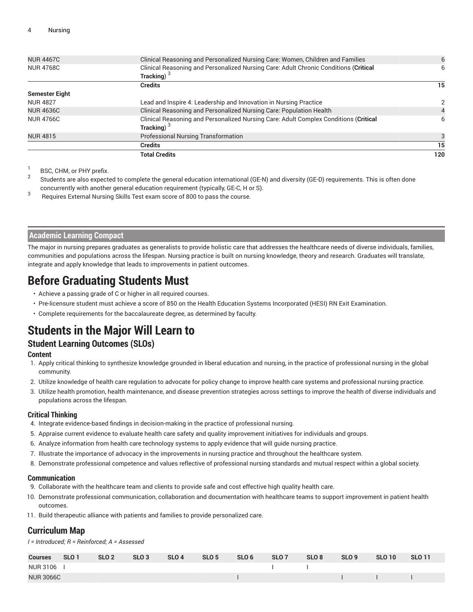|                       | <b>Total Credits</b>                                                                 | 120 |
|-----------------------|--------------------------------------------------------------------------------------|-----|
|                       | <b>Credits</b>                                                                       | 15  |
| <b>NUR 4815</b>       | <b>Professional Nursing Transformation</b>                                           |     |
|                       | Tracking) <sup>3</sup>                                                               |     |
| <b>NUR 4766C</b>      | Clinical Reasoning and Personalized Nursing Care: Adult Complex Conditions (Critical | 6   |
| <b>NUR 4636C</b>      | Clinical Reasoning and Personalized Nursing Care: Population Health                  |     |
| <b>NUR 4827</b>       | Lead and Inspire 4: Leadership and Innovation in Nursing Practice                    | 2   |
| <b>Semester Eight</b> |                                                                                      |     |
|                       | <b>Credits</b>                                                                       | 15  |
|                       | Tracking) $3$                                                                        |     |
| <b>NUR 4768C</b>      | Clinical Reasoning and Personalized Nursing Care: Adult Chronic Conditions (Critical | 6   |
| <b>NUR 4467C</b>      | Clinical Reasoning and Personalized Nursing Care: Women, Children and Families       | 6   |
|                       |                                                                                      |     |

1 BSC, CHM, or PHY prefix.

2 Students are also expected to complete the general education international (GE-N) and diversity (GE-D) requirements. This is often done concurrently with another general education requirement (typically, GE-C, H or S).

3 Requires External Nursing Skills Test exam score of 800 to pass the course.

#### **Academic Learning Compact**

The major in nursing prepares graduates as generalists to provide holistic care that addresses the healthcare needs of diverse individuals, families, communities and populations across the lifespan. Nursing practice is built on nursing knowledge, theory and research. Graduates will translate, integrate and apply knowledge that leads to improvements in patient outcomes.

# **Before Graduating Students Must**

- Achieve a passing grade of C or higher in all required courses.
- Pre-licensure student must achieve a score of 850 on the Health Education Systems Incorporated (HESI) RN Exit Examination.
- Complete requirements for the baccalaureate degree, as determined by faculty.

# **Students in the Major Will Learn to**

### **Student Learning Outcomes (SLOs)**

#### **Content**

- 1. Apply critical thinking to synthesize knowledge grounded in liberal education and nursing, in the practice of professional nursing in the global community.
- 2. Utilize knowledge of health care regulation to advocate for policy change to improve health care systems and professional nursing practice.
- 3. Utilize health promotion, health maintenance, and disease prevention strategies across settings to improve the health of diverse individuals and populations across the lifespan.

#### **Critical Thinking**

- 4. Integrate evidence-based findings in decision-making in the practice of professional nursing.
- 5. Appraise current evidence to evaluate health care safety and quality improvement initiatives for individuals and groups.
- 6. Analyze information from health care technology systems to apply evidence that will guide nursing practice.
- 7. Illustrate the importance of advocacy in the improvements in nursing practice and throughout the healthcare system.
- 8. Demonstrate professional competence and values reflective of professional nursing standards and mutual respect within a global society.

#### **Communication**

- 9. Collaborate with the healthcare team and clients to provide safe and cost effective high quality health care.
- 10. Demonstrate professional communication, collaboration and documentation with healthcare teams to support improvement in patient health outcomes.
- 11. Build therapeutic alliance with patients and families to provide personalized care.

### **Curriculum Map**

*I = Introduced; R = Reinforced; A = Assessed*

| <b>Courses</b>   | SLO <sub>1</sub> | SLO <sub>2</sub> | SLO <sub>3</sub> | SLO <sub>4</sub> | SLO 5 | SLO 6 | SLO7                                                                                                                                                                                                                                 | SLO 8 | SLO 9 | <b>SLO 10</b> | <b>SLO 11</b> |
|------------------|------------------|------------------|------------------|------------------|-------|-------|--------------------------------------------------------------------------------------------------------------------------------------------------------------------------------------------------------------------------------------|-------|-------|---------------|---------------|
| NUR 3106         |                  |                  |                  |                  |       |       | the contract of the contract of the contract of                                                                                                                                                                                      |       |       |               |               |
| <b>NUR 3066C</b> |                  |                  |                  |                  |       |       | $\blacksquare$ . The contract of the contract of the contract of the contract of the contract of the contract of the contract of the contract of the contract of the contract of the contract of the contract of the contract of the |       |       |               |               |